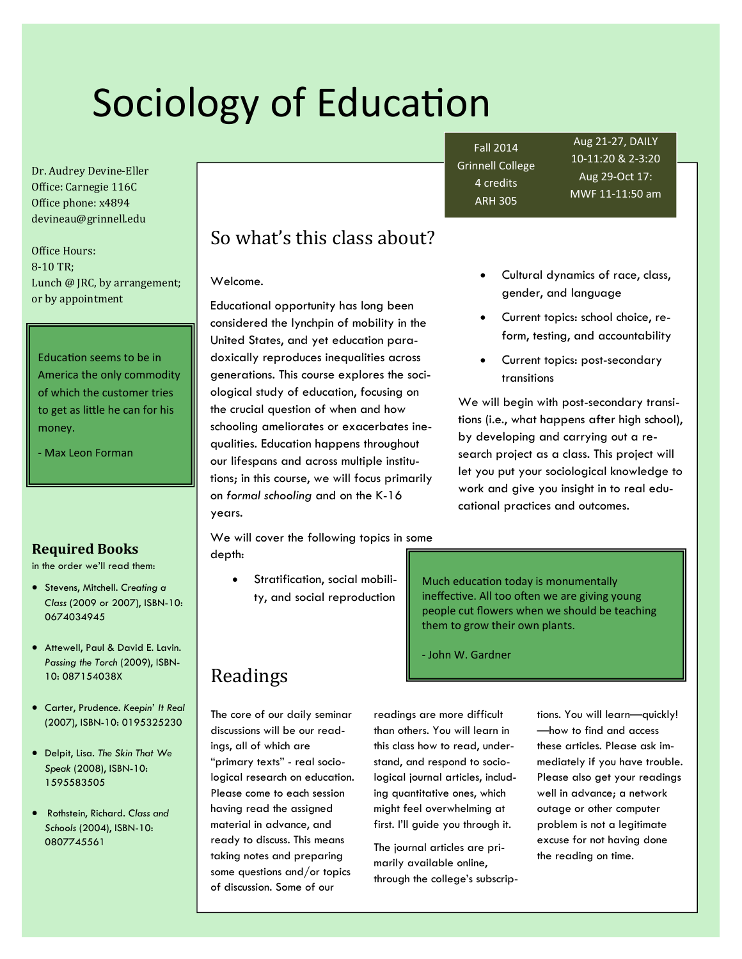# Sociology of Education

Dr. Audrey Devine-Eller Office: Carnegie 116C Office phone: x4894 devineau@grinnell.edu 

Office Hours: 8‐10 TR; Lunch  $\omega$  JRC, by arrangement; or by appointment

Education seems to be in America the only commodity of which the customer tries to get as little he can for his money.

‐ Max Leon Forman

#### **Required Books**

in the order we'll read them:

- Stevens, Mitchell. *Creating a Class* (2009 or 2007), ISBN-10: 0674034945
- Attewell, Paul & David E. Lavin. *Passing the Torch* (2009), ISBN-10: 087154038X
- Carter, Prudence. *Keepin' It Real* (2007), ISBN-10: 0195325230
- Delpit, Lisa. *The Skin That We Speak* (2008), ISBN-10: 1595583505
- Rothstein, Richard. *Class and Schools* (2004), ISBN-10: 0807745561

# So what's this class about?

Welcome.

Educational opportunity has long been considered the lynchpin of mobility in the United States, and yet education paradoxically reproduces inequalities across generations. This course explores the sociological study of education, focusing on the crucial question of when and how schooling ameliorates or exacerbates inequalities. Education happens throughout our lifespans and across multiple institutions; in this course, we will focus primarily on *formal schooling* and on the K-16 years.

We will cover the following topics in some depth:

> Stratification, social mobility, and social reproduction

Fall 2014 Grinnell College 4 credits ARH 305

Aug 21‐27, DAILY 10‐11:20 & 2‐3:20 Aug 29‐Oct 17: MWF 11‐11:50 am

- Cultural dynamics of race, class, gender, and language
- Current topics: school choice, reform, testing, and accountability
- Current topics: post-secondary transitions

We will begin with post-secondary transitions (i.e., what happens after high school), by developing and carrying out a research project as a class. This project will let you put your sociological knowledge to work and give you insight in to real educational practices and outcomes.

Much education today is monumentally ineffective. All too often we are giving young people cut flowers when we should be teaching them to grow their own plants.

‐ John W. Gardner

readings are more difficult than others. You will learn in this class how to read, understand, and respond to sociological journal articles, including quantitative ones, which might feel overwhelming at first. I'll guide you through it.

The journal articles are primarily available online, through the college's subscriptions. You will learn—quickly! —how to find and access these articles. Please ask immediately if you have trouble. Please also get your readings well in advance; a network outage or other computer problem is not a legitimate excuse for not having done the reading on time.

# Readings

The core of our daily seminar discussions will be our readings, all of which are "primary texts" - real sociological research on education. Please come to each session having read the assigned material in advance, and ready to discuss. This means taking notes and preparing some questions and/or topics of discussion. Some of our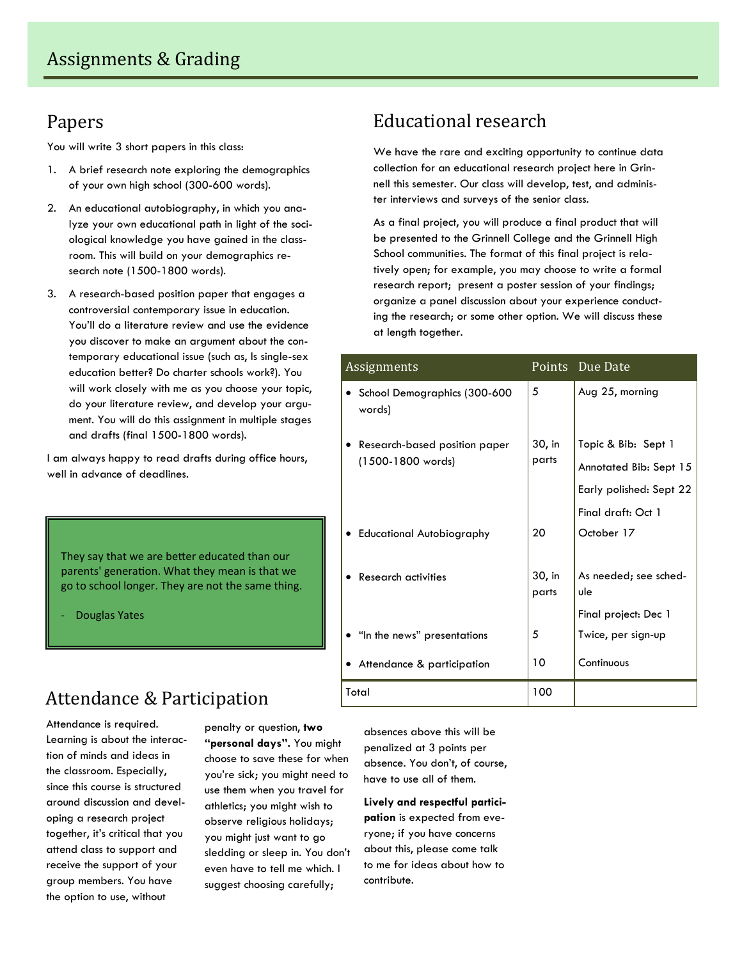## Papers

You will write 3 short papers in this class:

- 1. A brief research note exploring the demographics of your own high school (300-600 words).
- 2. An educational autobiography, in which you analyze your own educational path in light of the sociological knowledge you have gained in the classroom. This will build on your demographics research note (1500-1800 words).
- 3. A research-based position paper that engages a controversial contemporary issue in education. You'll do a literature review and use the evidence you discover to make an argument about the contemporary educational issue (such as, Is single-sex education better? Do charter schools work?). You will work closely with me as you choose your topic, do your literature review, and develop your argument. You will do this assignment in multiple stages and drafts (final 1500-1800 words).

I am always happy to read drafts during office hours, well in advance of deadlines.

They say that we are better educated than our parents' generation. What they mean is that we go to school longer. They are not the same thing.

‐ Douglas Yates

# Attendance & Participation

Attendance is required. Learning is about the interaction of minds and ideas in the classroom. Especially, since this course is structured around discussion and developing a research project together, it's critical that you attend class to support and receive the support of your group members. You have the option to use, without

penalty or question, **two "personal days".** You might choose to save these for when you're sick; you might need to use them when you travel for athletics; you might wish to observe religious holidays; you might just want to go sledding or sleep in. You don't even have to tell me which. I suggest choosing carefully;

# Educational research

We have the rare and exciting opportunity to continue data collection for an educational research project here in Grinnell this semester. Our class will develop, test, and administer interviews and surveys of the senior class.

As a final project, you will produce a final product that will be presented to the Grinnell College and the Grinnell High School communities. The format of this final project is relatively open; for example, you may choose to write a formal research report; present a poster session of your findings; organize a panel discussion about your experience conducting the research; or some other option. We will discuss these at length together.

| Assignments                                                   |                 | Points Due Date                                                          |
|---------------------------------------------------------------|-----------------|--------------------------------------------------------------------------|
| School Demographics (300-600<br>words)                        | 5               | Aug 25, morning                                                          |
| Research-based position paper<br>(1500-1800 words)            | 30, in<br>parts | Topic & Bib: Sept 1<br>Annotated Bib: Sept 15<br>Early polished: Sept 22 |
| • Educational Autobiography                                   | 20              | Final draft: Oct 1<br>October 17                                         |
| <b>Research activities</b>                                    | 30, in<br>parts | As needed; see sched-<br>ule                                             |
| • "In the news" presentations<br>• Attendance & participation | 5<br>10         | Final project: Dec 1<br>Twice, per sign-up<br>Continuous                 |
| Total                                                         | 100             |                                                                          |

absences above this will be penalized at 3 points per absence. You don't, of course, have to use all of them.

**Lively and respectful participation** is expected from everyone; if you have concerns about this, please come talk to me for ideas about how to contribute.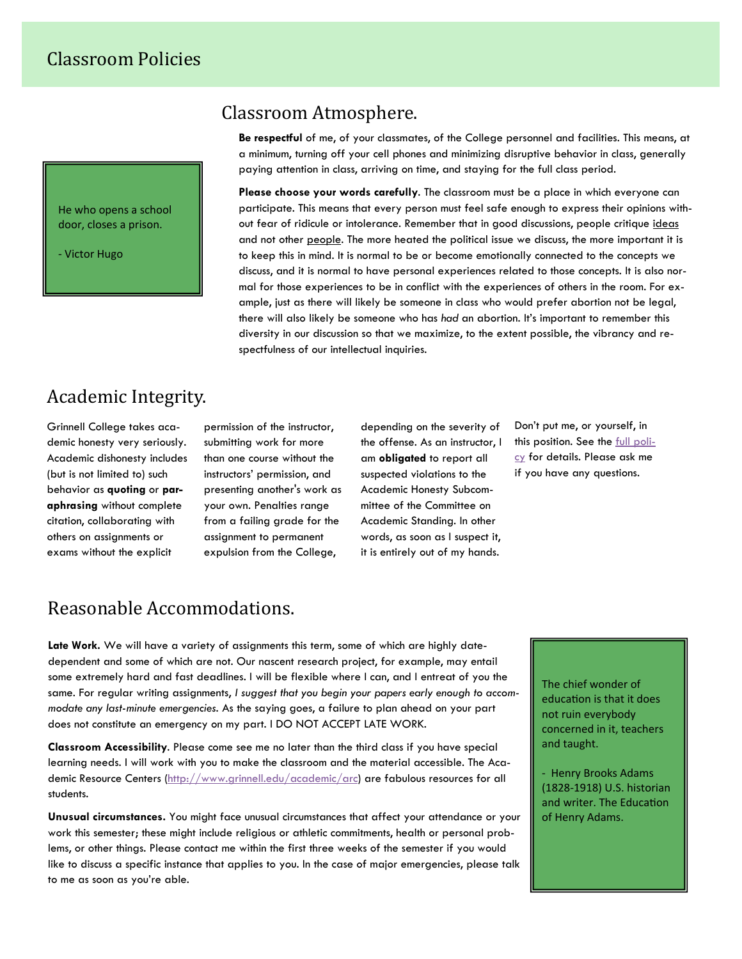He who opens a school door, closes a prison.

‐ Victor Hugo

#### Classroom Atmosphere.

**Be respectful** of me, of your classmates, of the College personnel and facilities. This means, at a minimum, turning off your cell phones and minimizing disruptive behavior in class, generally paying attention in class, arriving on time, and staying for the full class period.

**Please choose your words carefully**. The classroom must be a place in which everyone can participate. This means that every person must feel safe enough to express their opinions without fear of ridicule or intolerance. Remember that in good discussions, people critique ideas and not other people. The more heated the political issue we discuss, the more important it is to keep this in mind. It is normal to be or become emotionally connected to the concepts we discuss, and it is normal to have personal experiences related to those concepts. It is also normal for those experiences to be in conflict with the experiences of others in the room. For example, just as there will likely be someone in class who would prefer abortion not be legal, there will also likely be someone who has *had* an abortion. It's important to remember this diversity in our discussion so that we maximize, to the extent possible, the vibrancy and respectfulness of our intellectual inquiries.

## Academic Integrity.

Grinnell College takes academic honesty very seriously. Academic dishonesty includes (but is not limited to) such behavior as **quoting** or **paraphrasing** without complete citation, collaborating with others on assignments or exams without the explicit

permission of the instructor, submitting work for more than one course without the instructors' permission, and presenting another's work as your own. Penalties range from a failing grade for the assignment to permanent expulsion from the College,

depending on the severity of the offense. As an instructor, I am **obligated** to report all suspected violations to the Academic Honesty Subcommittee of the Committee on Academic Standing. In other words, as soon as I suspect it, it is entirely out of my hands.

Don't put me, or yourself, in this position. See the full policy for details. Please ask me if you have any questions.

## Reasonable Accommodations.

**Late Work.** We will have a variety of assignments this term, some of which are highly datedependent and some of which are not. Our nascent research project, for example, may entail some extremely hard and fast deadlines. I will be flexible where I can, and I entreat of you the same. For regular writing assignments, *I suggest that you begin your papers early enough to accommodate any last-minute emergencies.* As the saying goes, a failure to plan ahead on your part does not constitute an emergency on my part. I DO NOT ACCEPT LATE WORK.

**Classroom Accessibility**. Please come see me no later than the third class if you have special learning needs. I will work with you to make the classroom and the material accessible. The Academic Resource Centers (http://www.grinnell.edu/academic/arc) are fabulous resources for all students.

**Unusual circumstances.** You might face unusual circumstances that affect your attendance or your work this semester; these might include religious or athletic commitments, health or personal problems, or other things. Please contact me within the first three weeks of the semester if you would like to discuss a specific instance that applies to you. In the case of major emergencies, please talk to me as soon as you're able.

The chief wonder of education is that it does not ruin everybody concerned in it, teachers and taught.

‐ Henry Brooks Adams (1828‐1918) U.S. historian and writer. The Education of Henry Adams.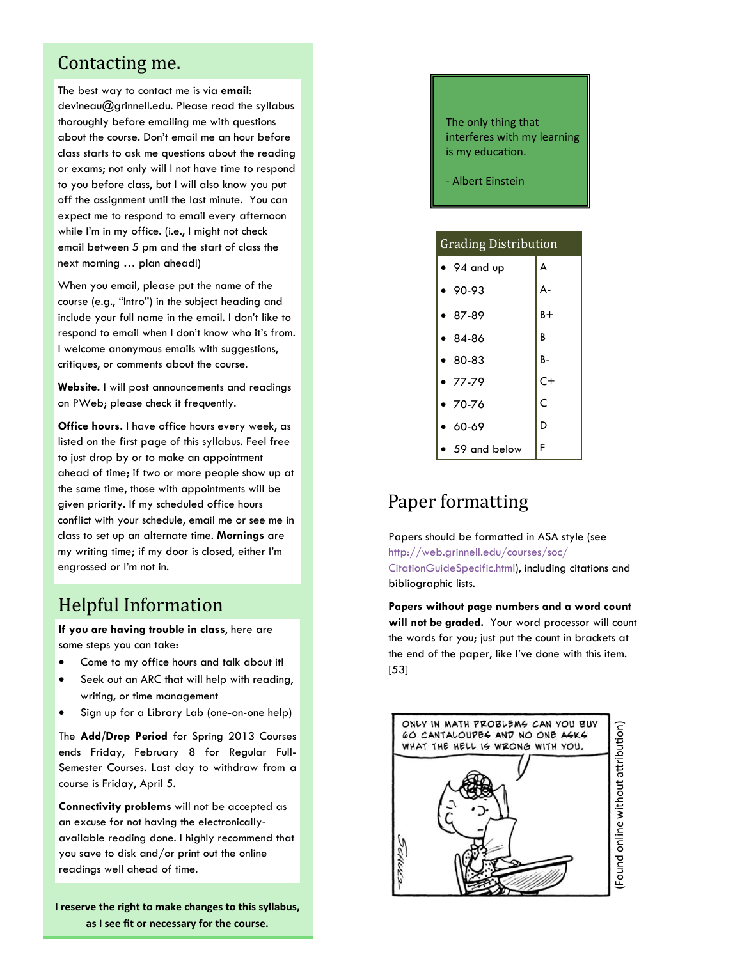#### Contacting me.

The best way to contact me is via **email**: devineau@grinnell.edu. Please read the syllabus thoroughly before emailing me with questions about the course. Don't email me an hour before class starts to ask me questions about the reading or exams; not only will I not have time to respond to you before class, but I will also know you put off the assignment until the last minute. You can expect me to respond to email every afternoon while I'm in my office. (i.e., I might not check email between 5 pm and the start of class the next morning … plan ahead!)

When you email, please put the name of the course (e.g., "Intro") in the subject heading and include your full name in the email. I don't like to respond to email when I don't know who it's from. I welcome anonymous emails with suggestions, critiques, or comments about the course.

**Website.** I will post announcements and readings on PWeb; please check it frequently.

**Office hours.** I have office hours every week, as listed on the first page of this syllabus. Feel free to just drop by or to make an appointment ahead of time; if two or more people show up at the same time, those with appointments will be given priority. If my scheduled office hours conflict with your schedule, email me or see me in class to set up an alternate time. **Mornings** are my writing time; if my door is closed, either I'm engrossed or I'm not in.

## **Helpful Information**

**If you are having trouble in class**, here are some steps you can take:

- Come to my office hours and talk about it!
- Seek out an ARC that will help with reading, writing, or time management
- Sign up for a Library Lab (one-on-one help)

The **Add/Drop Period** for Spring 2013 Courses ends Friday, February 8 for Regular Full-Semester Courses. Last day to withdraw from a course is Friday, April 5.

**Connectivity problems** will not be accepted as an excuse for not having the electronicallyavailable reading done. I highly recommend that you save to disk and/or print out the online readings well ahead of time.

**I reserve the right to make changes to this syllabus, as I see fit or necessary for the course.**

The only thing that interferes with my learning is my education.

‐ Albert Einstein

| <b>Grading Distribution</b> |       |  |
|-----------------------------|-------|--|
| $\bullet$ 94 and up         | A     |  |
| 90-93                       | А-    |  |
| $87-89$                     | $B +$ |  |
| $84-86$                     | B     |  |
| $• 80-83$                   | В-    |  |
| $• 77-79$                   | $C+$  |  |
| $-70-76$                    | Ċ     |  |
| $60-69$                     | D     |  |
| 59 and below                | F     |  |

## Paper formatting

Papers should be formatted in ASA style (see http://web.grinnell.edu/courses/soc/ CitationGuideSpecific.html), including citations and bibliographic lists.

**Papers without page numbers and a word count will not be graded.** Your word processor will count the words for you; just put the count in brackets at the end of the paper, like I've done with this item. [53]

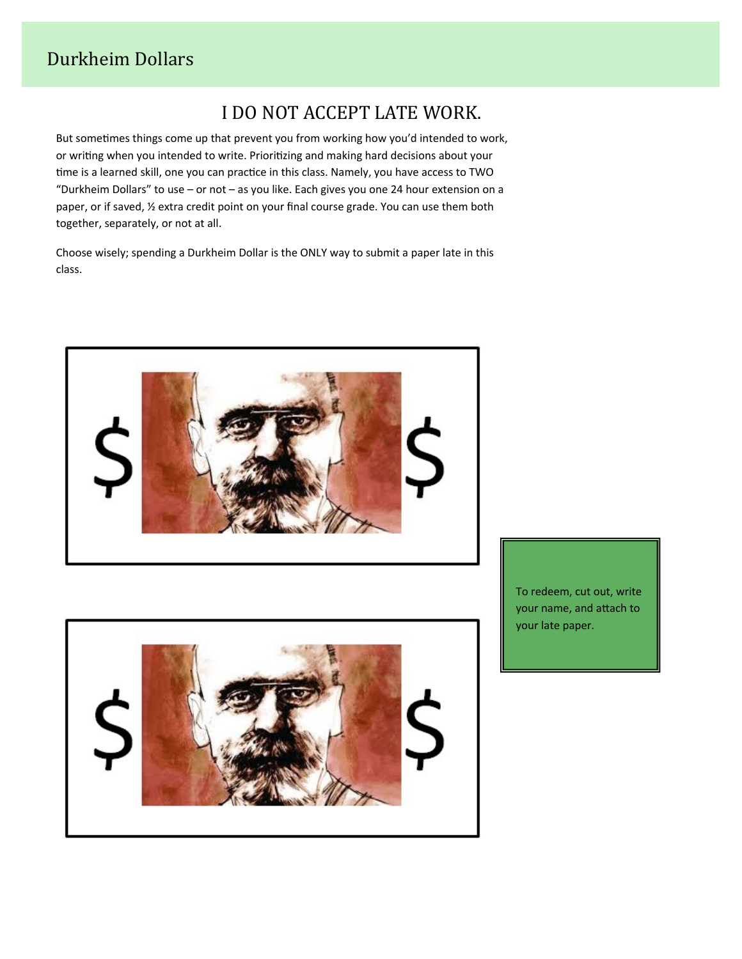# I DO NOT ACCEPT LATE WORK.

But sometimes things come up that prevent you from working how you'd intended to work, or writing when you intended to write. Prioritizing and making hard decisions about your time is a learned skill, one you can practice in this class. Namely, you have access to TWO "Durkheim Dollars" to use – or not – as you like. Each gives you one 24 hour extension on a paper, or if saved, ½ extra credit point on your final course grade. You can use them both together, separately, or not at all.

Choose wisely; spending a Durkheim Dollar is the ONLY way to submit a paper late in this class.





To redeem, cut out, write your name, and attach to your late paper.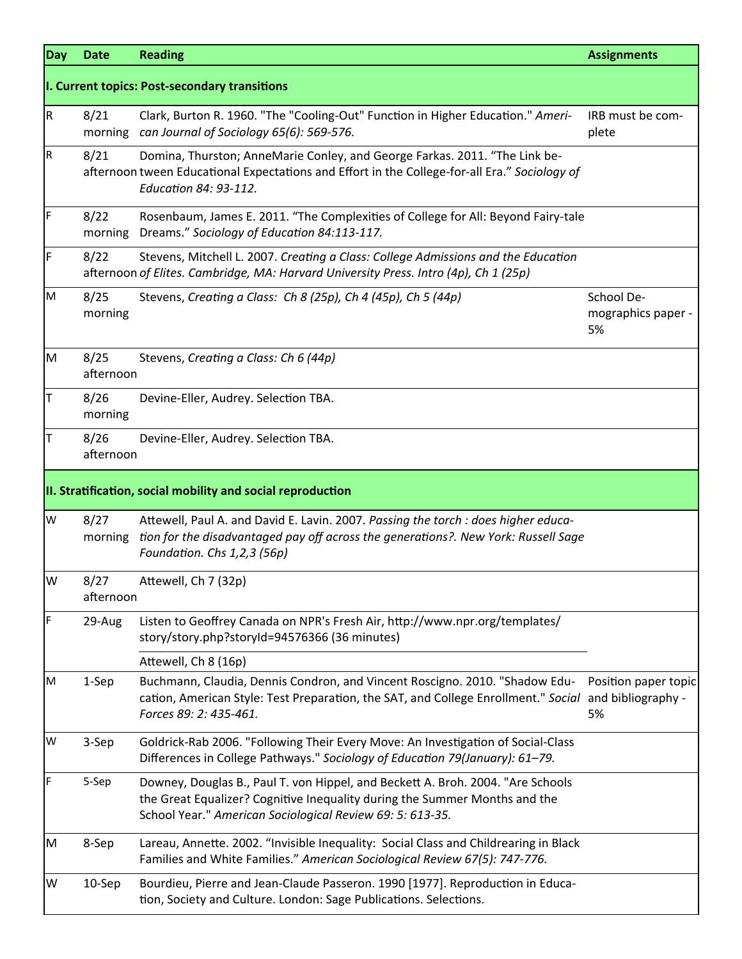| <b>Day</b> | <b>Date</b>       | <b>Reading</b>                                                                                                                                                                                                             | <b>Assignments</b>                     |
|------------|-------------------|----------------------------------------------------------------------------------------------------------------------------------------------------------------------------------------------------------------------------|----------------------------------------|
|            |                   | I. Current topics: Post-secondary transitions                                                                                                                                                                              |                                        |
| IR.        | 8/21              | Clark, Burton R. 1960. "The "Cooling-Out" Function in Higher Education." Ameri-<br>morning can Journal of Sociology 65(6): 569-576.                                                                                        | IRB must be com-<br>plete              |
| R          | 8/21              | Domina, Thurston; AnneMarie Conley, and George Farkas. 2011. "The Link be-<br>afternoon tween Educational Expectations and Effort in the College-for-all Era." Sociology of<br>Education 84: 93-112.                       |                                        |
| F          | 8/22<br>morning   | Rosenbaum, James E. 2011. "The Complexities of College for All: Beyond Fairy-tale<br>Dreams." Sociology of Education 84:113-117.                                                                                           |                                        |
| IF         | 8/22              | Stevens, Mitchell L. 2007. Creating a Class: College Admissions and the Education<br>afternoon of Elites. Cambridge, MA: Harvard University Press. Intro (4p), Ch 1 (25p)                                                  |                                        |
| IМ         | 8/25<br>morning   | Stevens, Creating a Class: Ch 8 (25p), Ch 4 (45p), Ch 5 (44p)                                                                                                                                                              | School De-<br>mographics paper -<br>5% |
| Iм         | 8/25<br>afternoon | Stevens, Creating a Class: Ch 6 (44p)                                                                                                                                                                                      |                                        |
| lΤ         | 8/26<br>morning   | Devine-Eller, Audrey. Selection TBA.                                                                                                                                                                                       |                                        |
| IΤ         | 8/26<br>afternoon | Devine-Eller, Audrey. Selection TBA.                                                                                                                                                                                       |                                        |
|            |                   | II. Stratification, social mobility and social reproduction                                                                                                                                                                |                                        |
| W          | 8/27<br>morning   | Attewell, Paul A. and David E. Lavin. 2007. Passing the torch : does higher educa-<br>tion for the disadvantaged pay off across the generations?. New York: Russell Sage<br>Foundation. Chs 1,2,3 (56p)                    |                                        |
| lw         | 8/27<br>afternoon | Attewell, Ch 7 (32p)                                                                                                                                                                                                       |                                        |
| IF         | 29-Aug            | Listen to Geoffrey Canada on NPR's Fresh Air, http://www.npr.org/templates/<br>story/story.php?storyId=94576366 (36 minutes)                                                                                               |                                        |
|            |                   | Attewell, Ch 8 (16p)                                                                                                                                                                                                       |                                        |
| M          | 1-Sep             | Buchmann, Claudia, Dennis Condron, and Vincent Roscigno. 2010. "Shadow Edu-<br>cation, American Style: Test Preparation, the SAT, and College Enrollment." Social and bibliography -<br>Forces 89: 2: 435-461.             | Position paper topic<br>5%             |
| W          | 3-Sep             | Goldrick-Rab 2006. "Following Their Every Move: An Investigation of Social-Class<br>Differences in College Pathways." Sociology of Education 79(January): 61-79.                                                           |                                        |
| IF.        | 5-Sep             | Downey, Douglas B., Paul T. von Hippel, and Beckett A. Broh. 2004. "Are Schools<br>the Great Equalizer? Cognitive Inequality during the Summer Months and the<br>School Year." American Sociological Review 69: 5: 613-35. |                                        |
| M          | 8-Sep             | Lareau, Annette. 2002. "Invisible Inequality: Social Class and Childrearing in Black<br>Families and White Families." American Sociological Review 67(5): 747-776.                                                         |                                        |
| W          | 10-Sep            | Bourdieu, Pierre and Jean-Claude Passeron. 1990 [1977]. Reproduction in Educa-<br>tion, Society and Culture. London: Sage Publications. Selections.                                                                        |                                        |